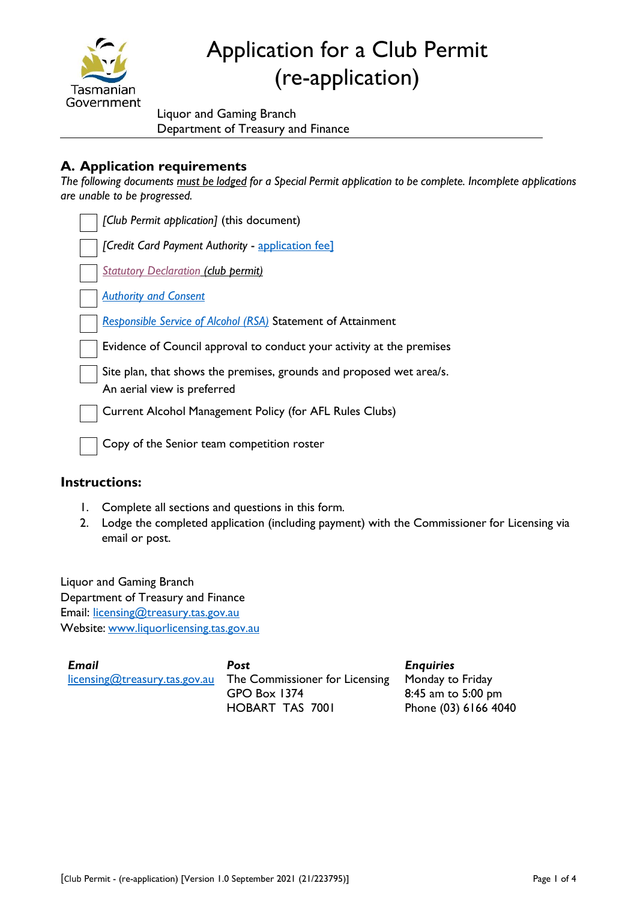

# Application for a Club Permit (re-application)

Liquor and Gaming Branch Department of Treasury and Finance

## **A. Application requirements**

*The following documents must be lodged for a Special Permit application to be complete. Incomplete applications are unable to be progressed.*

| [Club Permit application] (this document)                                                           |
|-----------------------------------------------------------------------------------------------------|
| [Credit Card Payment Authority - application fee]                                                   |
| <b>Statutory Declaration (club permit)</b>                                                          |
| <b>Authority and Consent</b>                                                                        |
| <b>Responsible Service of Alcohol (RSA) Statement of Attainment</b>                                 |
| Evidence of Council approval to conduct your activity at the premises                               |
| Site plan, that shows the premises, grounds and proposed wet area/s.<br>An aerial view is preferred |
| Current Alcohol Management Policy (for AFL Rules Clubs)                                             |
| Copy of the Senior team competition roster                                                          |

#### **Instructions:**

- 1. Complete all sections and questions in this form*.*
- 2. Lodge the completed application (including payment) with the Commissioner for Licensing via email or post.

Liquor and Gaming Branch Department of Treasury and Finance Email: [licensing@treasury.tas.gov.au](mailto:licensing@treasury.tas.gov.au) Website: www.liquorlicensing.tas.gov.au

| <b>Email</b>                  | Post                           | <b>Enquiries</b>     |
|-------------------------------|--------------------------------|----------------------|
| licensing@treasury.tas.gov.au | The Commissioner for Licensing | Monday to Friday     |
|                               | GPO Box 1374                   | 8:45 am to 5:00 pm   |
|                               | HOBART TAS 7001                | Phone (03) 6166 4040 |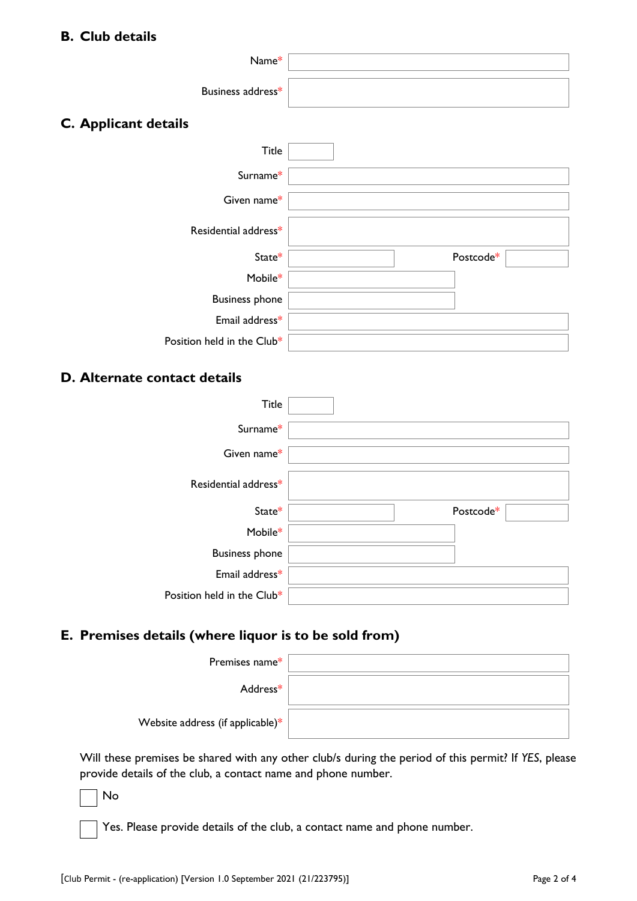## **B. Club details**

| Name*                                                 |           |
|-------------------------------------------------------|-----------|
|                                                       |           |
| Business address*                                     |           |
| C. Applicant details                                  |           |
| Title                                                 |           |
| Surname*                                              |           |
| Given name*                                           |           |
| Residential address*                                  |           |
| State*                                                | Postcode* |
| Mobile*                                               |           |
| <b>Business phone</b>                                 |           |
| Email address*                                        |           |
| Position held in the Club*                            |           |
| D. Alternate contact details                          |           |
| Title                                                 |           |
| Surname*                                              |           |
| Given name*                                           |           |
| Residential address*                                  |           |
| State*                                                | Postcode* |
| Mobile*                                               |           |
| <b>Business phone</b>                                 |           |
| Email address*                                        |           |
| Position held in the Club*                            |           |
| E. Premises details (where liquor is to be sold from) |           |
| Premises name*                                        |           |
| Address*                                              |           |
|                                                       |           |
| Website address (if applicable)*                      |           |

Will these premises be shared with any other club/s during the period of this permit? If *YES*, please provide details of the club, a contact name and phone number.

No

Yes. Please provide details of the club, a contact name and phone number.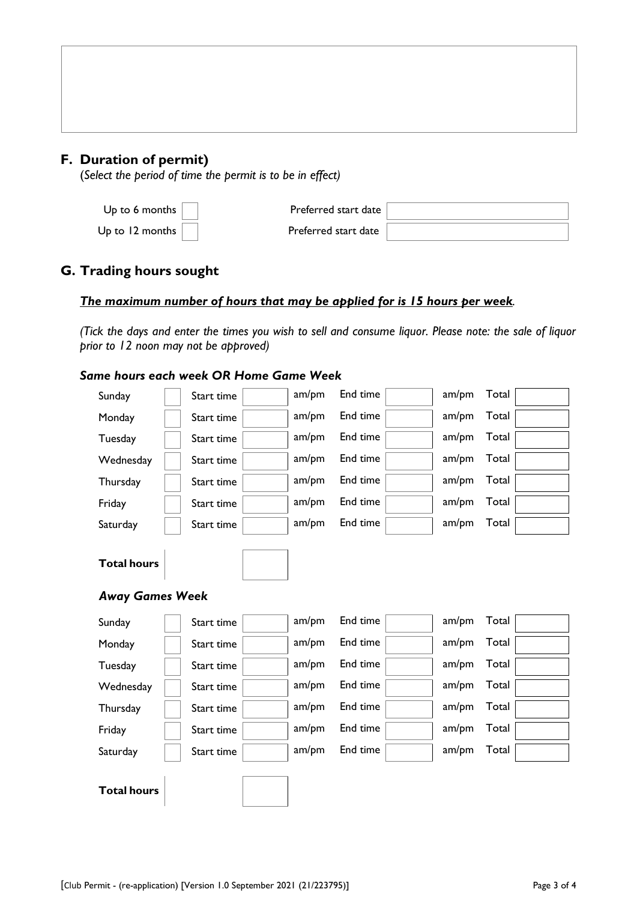## **F. Duration of permit)**

(*Select the period of time the permit is to be in effect)*

| Up to 6 months      | Preferred start date |  |
|---------------------|----------------------|--|
| Up to 12 months $ $ | Preferred start date |  |

## **G. Trading hours sought**

#### *The maximum number of hours that may be applied for is 15 hours per week.*

*(Tick the days and enter the times you wish to sell and consume liquor. Please note: the sale of liquor prior to 12 noon may not be approved)*

|                                              | Same hours each week OR Home Game Week |       |          |       |       |
|----------------------------------------------|----------------------------------------|-------|----------|-------|-------|
| Sunday                                       | Start time                             | am/pm | End time | am/pm | Total |
| Monday                                       | Start time                             | am/pm | End time | am/pm | Total |
| Tuesday                                      | Start time                             | am/pm | End time | am/pm | Total |
| Wednesday                                    | Start time                             | am/pm | End time | am/pm | Total |
| Thursday                                     | Start time                             | am/pm | End time | am/pm | Total |
| Friday                                       | Start time                             | am/pm | End time | am/pm | Total |
| Saturday                                     | Start time                             | am/pm | End time | am/pm | Total |
| <b>Total hours</b><br><b>Away Games Week</b> |                                        |       |          |       |       |
| Sunday                                       | Start time                             | am/pm | End time | am/pm | Total |
| Monday                                       | Start time                             | am/pm | End time | am/pm | Total |
| Tuesday                                      | Start time                             | am/pm | End time | am/pm | Total |
| Wednesday                                    | Start time                             | am/pm | End time | am/pm | Total |
| Thursday                                     | Start time                             | am/pm | End time | am/pm | Total |
| Friday                                       | Start time                             | am/pm | End time | am/pm | Total |
| Saturday                                     | Start time                             | am/pm | End time | am/pm | Total |
| <b>Total hours</b>                           |                                        |       |          |       |       |

#### [Club Permit - (re-application) [Version 1.0 September 2021 (21/223795)] Page 3 of 4